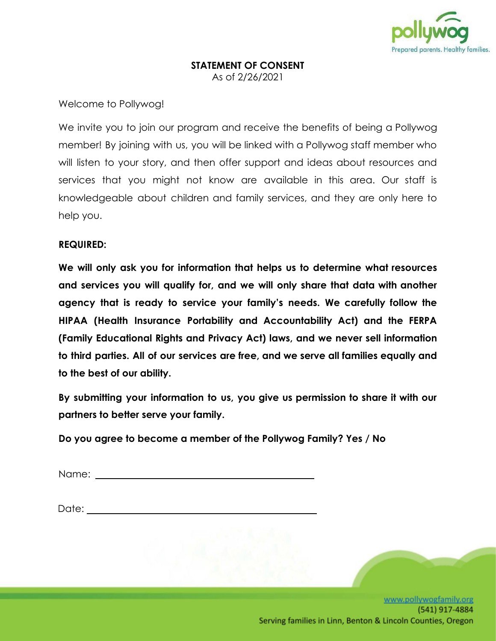

### **STATEMENT OF CONSENT** As of 2/26/2021

## Welcome to Pollywog!

We invite you to join our program and receive the benefits of being a Pollywog member! By joining with us, you will be linked with a Pollywog staff member who will listen to your story, and then offer support and ideas about resources and services that you might not know are available in this area. Our staff is knowledgeable about children and family services, and they are only here to help you.

## **REQUIRED:**

**We will only ask you for information that helps us to determine what resources and services you will qualify for, and we will only share that data with another agency that is ready to service your family's needs. We carefully follow the HIPAA (Health Insurance Portability and Accountability Act) and the FERPA (Family Educational Rights and Privacy Act) laws, and we never sell information to third parties. All of our services are free, and we serve all families equally and to the best of our ability.**

**By submitting your information to us, you give us permission to share it with our partners to better serve your family.**

**Do you agree to become a member of the Pollywog Family? Yes / No**

Name: when the contract of the contract of the contract of the contract of the contract of the contract of the contract of the contract of the contract of the contract of the contract of the contract of the contract of the

Date: when the contract of the contract of the contract of the contract of the contract of the contract of the contract of the contract of the contract of the contract of the contract of the contract of the contract of the